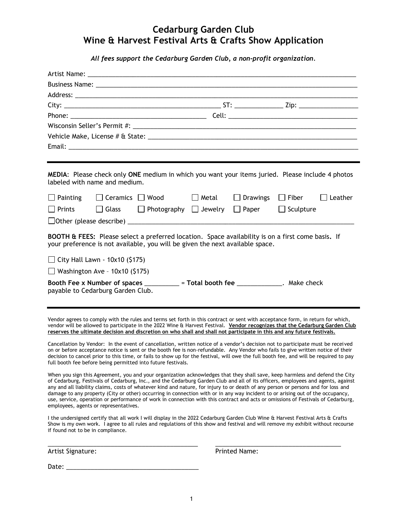## **Cedarburg Garden Club Wine & Harvest Festival Arts & Crafts Show Application**

*All fees support the Cedarburg Garden Club, a non-profit organization.*

| labeled with name and medium.                                                                                                                                                                                                                                                                                                                                                                                                                                                                                                                                                                                                                                                                                        |  | MEDIA: Please check only ONE medium in which you want your items juried. Please include 4 photos                                                                                                                                                                  |  |               |  |  |
|----------------------------------------------------------------------------------------------------------------------------------------------------------------------------------------------------------------------------------------------------------------------------------------------------------------------------------------------------------------------------------------------------------------------------------------------------------------------------------------------------------------------------------------------------------------------------------------------------------------------------------------------------------------------------------------------------------------------|--|-------------------------------------------------------------------------------------------------------------------------------------------------------------------------------------------------------------------------------------------------------------------|--|---------------|--|--|
|                                                                                                                                                                                                                                                                                                                                                                                                                                                                                                                                                                                                                                                                                                                      |  | $\Box$ Painting $\Box$ Ceramics $\Box$ Wood $\Box$ Metal $\Box$ Drawings $\Box$ Fiber $\Box$ Leather                                                                                                                                                              |  |               |  |  |
| $\Box$ Prints                                                                                                                                                                                                                                                                                                                                                                                                                                                                                                                                                                                                                                                                                                        |  | $\Box$ Glass $\Box$ Photography $\Box$ Jewelry $\Box$ Paper $\Box$ Sculpture                                                                                                                                                                                      |  |               |  |  |
|                                                                                                                                                                                                                                                                                                                                                                                                                                                                                                                                                                                                                                                                                                                      |  |                                                                                                                                                                                                                                                                   |  |               |  |  |
| $\Box$ City Hall Lawn - 10x10 (\$175)<br>$\Box$ Washington Ave - 10x10 (\$175)<br>payable to Cedarburg Garden Club.                                                                                                                                                                                                                                                                                                                                                                                                                                                                                                                                                                                                  |  | Booth Fee x Number of spaces _________ = Total booth fee _____________. Make check                                                                                                                                                                                |  |               |  |  |
| Vendor agrees to comply with the rules and terms set forth in this contract or sent with acceptance form, in return for which,<br>vendor will be allowed to participate in the 2022 Wine & Harvest Festival. Vendor recognizes that the Cedarburg Garden Club<br>reserves the ultimate decision and discretion on who shall and shall not participate in this and any future festivals.                                                                                                                                                                                                                                                                                                                              |  |                                                                                                                                                                                                                                                                   |  |               |  |  |
| Cancellation by Vendor: In the event of cancellation, written notice of a vendor's decision not to participate must be received<br>on or before acceptance notice is sent or the booth fee is non-refundable. Any Vendor who fails to give written notice of their<br>decision to cancel prior to this time, or fails to show up for the festival, will owe the full booth fee, and will be required to pay<br>full booth fee before being permitted into future festivals.                                                                                                                                                                                                                                          |  |                                                                                                                                                                                                                                                                   |  |               |  |  |
| When you sign this Agreement, you and your organization acknowledges that they shall save, keep harmless and defend the City<br>of Cedarburg, Festivals of Cedarburg, Inc., and the Cedarburg Garden Club and all of its officers, employees and agents, against<br>any and all liability claims, costs of whatever kind and nature, for injury to or death of any person or persons and for loss and<br>damage to any property (City or other) occurring in connection with or in any way incident to or arising out of the occupancy,<br>use, service, operation or performance of work in connection with this contract and acts or omissions of Festivals of Cedarburg,<br>employees, agents or representatives. |  |                                                                                                                                                                                                                                                                   |  |               |  |  |
| if found not to be in compliance.                                                                                                                                                                                                                                                                                                                                                                                                                                                                                                                                                                                                                                                                                    |  | I the undersigned certify that all work I will display in the 2022 Cedarburg Garden Club Wine & Harvest Festival Arts & Crafts<br>Show is my own work. I agree to all rules and regulations of this show and festival and will remove my exhibit without recourse |  |               |  |  |
| Artist Signature:                                                                                                                                                                                                                                                                                                                                                                                                                                                                                                                                                                                                                                                                                                    |  |                                                                                                                                                                                                                                                                   |  | Printed Name: |  |  |

Date: \_\_\_\_\_\_\_\_\_\_\_\_\_\_\_\_\_\_\_\_\_\_\_\_\_\_\_\_\_\_\_\_\_\_\_\_\_\_